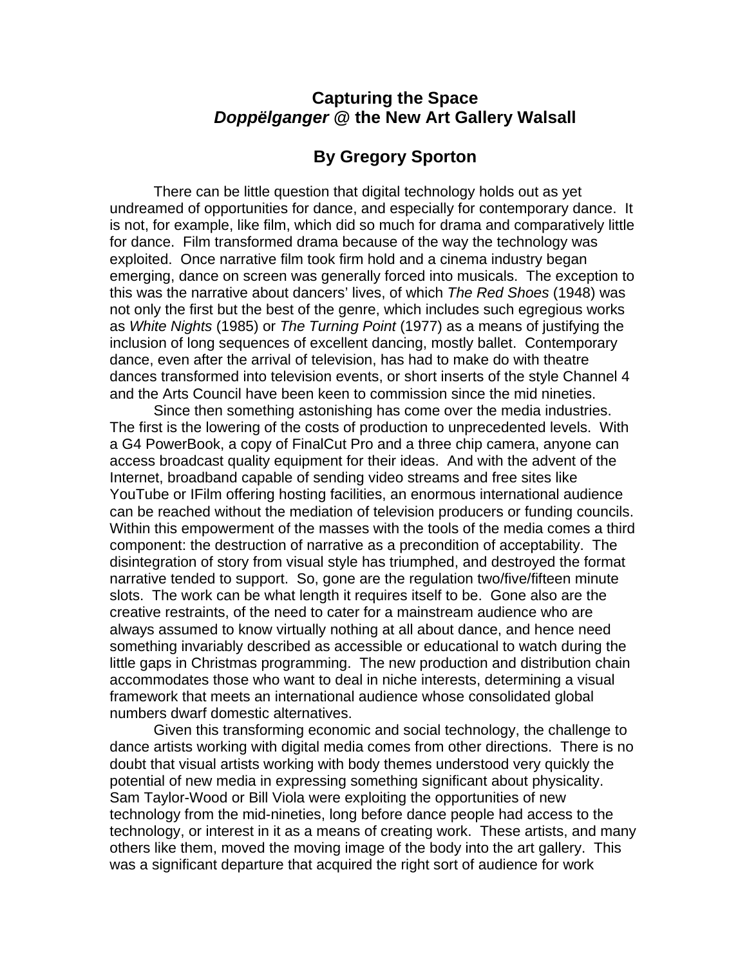## **Capturing the Space**  *Doppëlganger* **@ the New Art Gallery Walsall**

## **By Gregory Sporton**

There can be little question that digital technology holds out as yet undreamed of opportunities for dance, and especially for contemporary dance. It is not, for example, like film, which did so much for drama and comparatively little for dance. Film transformed drama because of the way the technology was exploited. Once narrative film took firm hold and a cinema industry began emerging, dance on screen was generally forced into musicals. The exception to this was the narrative about dancers' lives, of which *The Red Shoes* (1948) was not only the first but the best of the genre, which includes such egregious works as *White Nights* (1985) or *The Turning Point* (1977) as a means of justifying the inclusion of long sequences of excellent dancing, mostly ballet. Contemporary dance, even after the arrival of television, has had to make do with theatre dances transformed into television events, or short inserts of the style Channel 4 and the Arts Council have been keen to commission since the mid nineties.

Since then something astonishing has come over the media industries. The first is the lowering of the costs of production to unprecedented levels. With a G4 PowerBook, a copy of FinalCut Pro and a three chip camera, anyone can access broadcast quality equipment for their ideas. And with the advent of the Internet, broadband capable of sending video streams and free sites like YouTube or IFilm offering hosting facilities, an enormous international audience can be reached without the mediation of television producers or funding councils. Within this empowerment of the masses with the tools of the media comes a third component: the destruction of narrative as a precondition of acceptability. The disintegration of story from visual style has triumphed, and destroyed the format narrative tended to support. So, gone are the regulation two/five/fifteen minute slots. The work can be what length it requires itself to be. Gone also are the creative restraints, of the need to cater for a mainstream audience who are always assumed to know virtually nothing at all about dance, and hence need something invariably described as accessible or educational to watch during the little gaps in Christmas programming. The new production and distribution chain accommodates those who want to deal in niche interests, determining a visual framework that meets an international audience whose consolidated global numbers dwarf domestic alternatives.

Given this transforming economic and social technology, the challenge to dance artists working with digital media comes from other directions. There is no doubt that visual artists working with body themes understood very quickly the potential of new media in expressing something significant about physicality. Sam Taylor-Wood or Bill Viola were exploiting the opportunities of new technology from the mid-nineties, long before dance people had access to the technology, or interest in it as a means of creating work. These artists, and many others like them, moved the moving image of the body into the art gallery. This was a significant departure that acquired the right sort of audience for work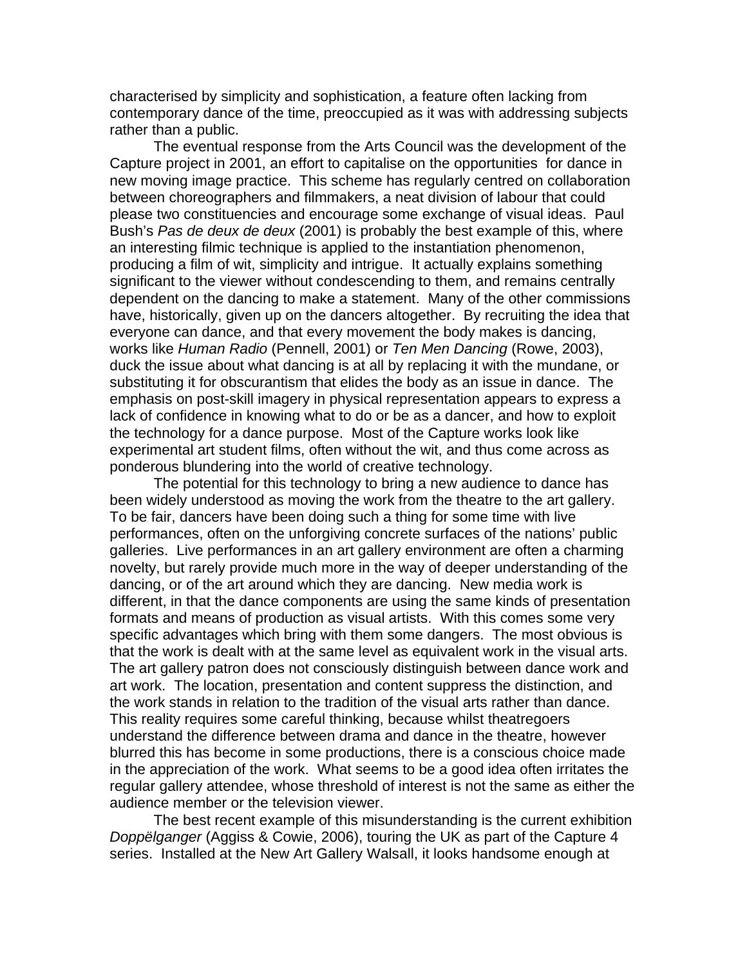characterised by simplicity and sophistication, a feature often lacking from contemporary dance of the time, preoccupied as it was with addressing subjects rather than a public.

The eventual response from the Arts Council was the development of the Capture project in 2001, an effort to capitalise on the opportunities for dance in new moving image practice. This scheme has regularly centred on collaboration between choreographers and filmmakers, a neat division of labour that could please two constituencies and encourage some exchange of visual ideas. Paul Bush's *Pas de deux de deux* (2001) is probably the best example of this, where an interesting filmic technique is applied to the instantiation phenomenon, producing a film of wit, simplicity and intrigue. It actually explains something significant to the viewer without condescending to them, and remains centrally dependent on the dancing to make a statement. Many of the other commissions have, historically, given up on the dancers altogether. By recruiting the idea that everyone can dance, and that every movement the body makes is dancing, works like *Human Radio* (Pennell, 2001) or *Ten Men Dancing* (Rowe, 2003), duck the issue about what dancing is at all by replacing it with the mundane, or substituting it for obscurantism that elides the body as an issue in dance. The emphasis on post-skill imagery in physical representation appears to express a lack of confidence in knowing what to do or be as a dancer, and how to exploit the technology for a dance purpose. Most of the Capture works look like experimental art student films, often without the wit, and thus come across as ponderous blundering into the world of creative technology.

The potential for this technology to bring a new audience to dance has been widely understood as moving the work from the theatre to the art gallery. To be fair, dancers have been doing such a thing for some time with live performances, often on the unforgiving concrete surfaces of the nations' public galleries. Live performances in an art gallery environment are often a charming novelty, but rarely provide much more in the way of deeper understanding of the dancing, or of the art around which they are dancing. New media work is different, in that the dance components are using the same kinds of presentation formats and means of production as visual artists. With this comes some very specific advantages which bring with them some dangers. The most obvious is that the work is dealt with at the same level as equivalent work in the visual arts. The art gallery patron does not consciously distinguish between dance work and art work. The location, presentation and content suppress the distinction, and the work stands in relation to the tradition of the visual arts rather than dance. This reality requires some careful thinking, because whilst theatregoers understand the difference between drama and dance in the theatre, however blurred this has become in some productions, there is a conscious choice made in the appreciation of the work. What seems to be a good idea often irritates the regular gallery attendee, whose threshold of interest is not the same as either the audience member or the television viewer.

The best recent example of this misunderstanding is the current exhibition *Doppëlganger* (Aggiss & Cowie, 2006), touring the UK as part of the Capture 4 series. Installed at the New Art Gallery Walsall, it looks handsome enough at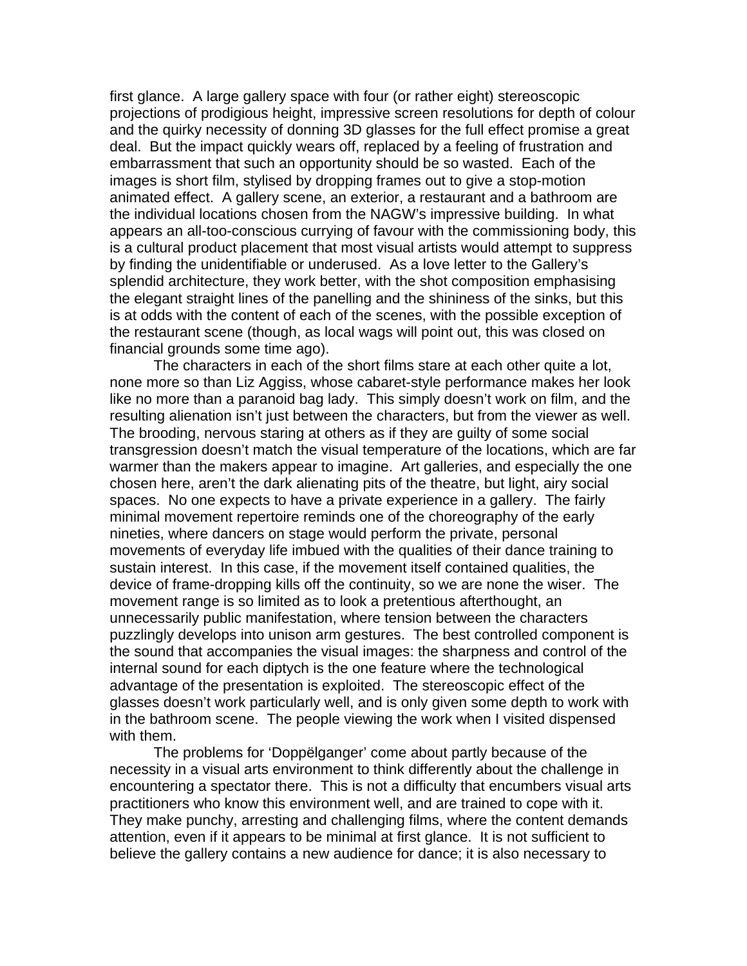first glance. A large gallery space with four (or rather eight) stereoscopic projections of prodigious height, impressive screen resolutions for depth of colour and the quirky necessity of donning 3D glasses for the full effect promise a great deal. But the impact quickly wears off, replaced by a feeling of frustration and embarrassment that such an opportunity should be so wasted. Each of the images is short film, stylised by dropping frames out to give a stop-motion animated effect. A gallery scene, an exterior, a restaurant and a bathroom are the individual locations chosen from the NAGW's impressive building. In what appears an all-too-conscious currying of favour with the commissioning body, this is a cultural product placement that most visual artists would attempt to suppress by finding the unidentifiable or underused. As a love letter to the Gallery's splendid architecture, they work better, with the shot composition emphasising the elegant straight lines of the panelling and the shininess of the sinks, but this is at odds with the content of each of the scenes, with the possible exception of the restaurant scene (though, as local wags will point out, this was closed on financial grounds some time ago).

The characters in each of the short films stare at each other quite a lot, none more so than Liz Aggiss, whose cabaret-style performance makes her look like no more than a paranoid bag lady. This simply doesn't work on film, and the resulting alienation isn't just between the characters, but from the viewer as well. The brooding, nervous staring at others as if they are guilty of some social transgression doesn't match the visual temperature of the locations, which are far warmer than the makers appear to imagine. Art galleries, and especially the one chosen here, aren't the dark alienating pits of the theatre, but light, airy social spaces. No one expects to have a private experience in a gallery. The fairly minimal movement repertoire reminds one of the choreography of the early nineties, where dancers on stage would perform the private, personal movements of everyday life imbued with the qualities of their dance training to sustain interest. In this case, if the movement itself contained qualities, the device of frame-dropping kills off the continuity, so we are none the wiser. The movement range is so limited as to look a pretentious afterthought, an unnecessarily public manifestation, where tension between the characters puzzlingly develops into unison arm gestures. The best controlled component is the sound that accompanies the visual images: the sharpness and control of the internal sound for each diptych is the one feature where the technological advantage of the presentation is exploited. The stereoscopic effect of the glasses doesn't work particularly well, and is only given some depth to work with in the bathroom scene. The people viewing the work when I visited dispensed with them.

The problems for 'Doppëlganger' come about partly because of the necessity in a visual arts environment to think differently about the challenge in encountering a spectator there. This is not a difficulty that encumbers visual arts practitioners who know this environment well, and are trained to cope with it. They make punchy, arresting and challenging films, where the content demands attention, even if it appears to be minimal at first glance. It is not sufficient to believe the gallery contains a new audience for dance; it is also necessary to